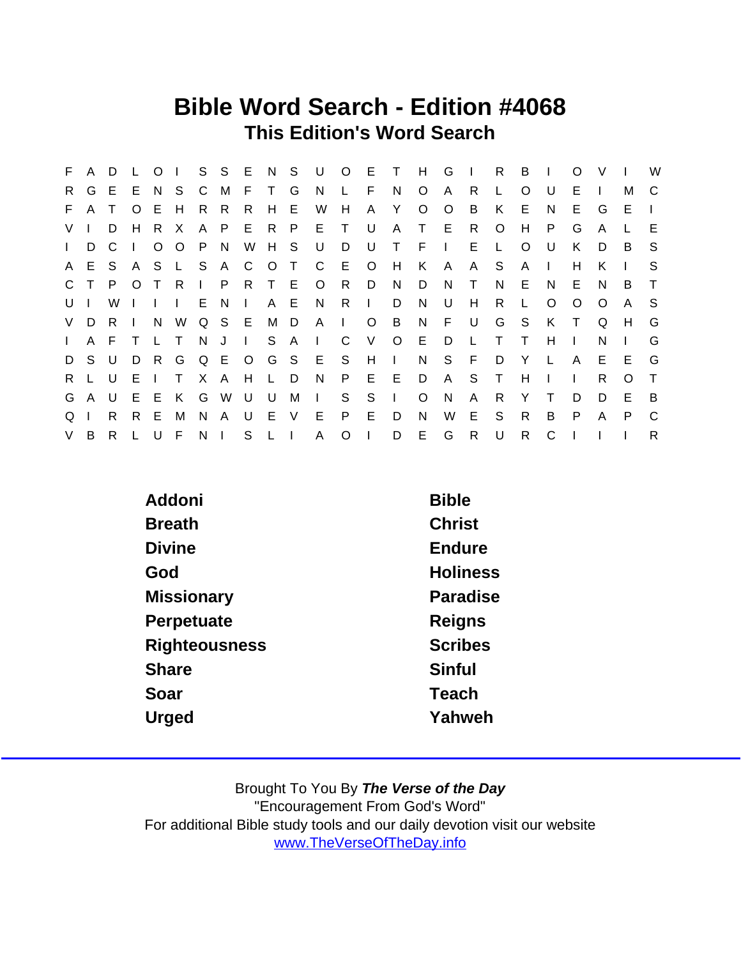## Bible Word Search - Edition #4068 This Edition's Word Search

| F.             | A            | D  |              | $\Omega$     |              |              | S S            | E            | N          | - S    | U              | $O$ E        |              | $\top$       | H       | G            | $\blacksquare$ | R.           | B            |              | $\Omega$ | V        |          | W            |
|----------------|--------------|----|--------------|--------------|--------------|--------------|----------------|--------------|------------|--------|----------------|--------------|--------------|--------------|---------|--------------|----------------|--------------|--------------|--------------|----------|----------|----------|--------------|
| R.             | G            | E  | E.           | N.           | S.           | C            | M              | E            | $\top$     | G      | N              |              | F            | N            | $\circ$ | $\mathsf{A}$ | R              |              | $\Omega$     |              | Е        |          | м        | C            |
| F.             | A            |    | O            | Е            | H            | R.           | R              | R            | H          | - E    | W              | H            | A            | Y            | O       | $\circ$      | B              | K            | E.           | N            | E.       | G        | E.       | $\mathbf{I}$ |
| V <sub>l</sub> |              | D  | H            | R.           | X            | A            | P              | E            | R          | - P    | E              | T            | U            | A            | T       | E.           | R.             | O            | H            | P.           | G        | A        |          | E            |
| $\mathbf{L}$   | D            | C  | $\mathbf{I}$ | $\circ$      | $\circ$      | P.           | N              | W            | H S        |        | U              | D            | U            | $\top$       | E       | $\mathbf{L}$ | Е              | L            | $\Omega$     | U            | K        | D        | B        | <sub>S</sub> |
| A              | E            | S  | A            | S.           | $\mathsf{L}$ | S            | A              | - C          | $\circ$    | $\top$ | $\mathsf{C}$   | E            | $\circ$      | H            | K       | A            | A              | S            | A            |              | н        | Κ        |          | S            |
| $\mathbf{C}$   |              | P  | $\circ$      |              | R            | $\mathbf{L}$ | P              | R.           | $\top$     | - E    | $\circ$        | R.           | D            | N            | D       | N            | т              | N            | E.           | N            | E.       | N        | B        | $\top$       |
| U              |              | W  |              | $\mathbf{I}$ | $\mathbf{L}$ | E.           | <sub>N</sub>   | $\mathbf{I}$ | A          | - E    | N.             | R            | $\mathbf{L}$ | D            | N       | U            | H              | R.           | L.           | O            | O        | $\Omega$ | A        | -S           |
| V.             | D            | R. | $\mathbf{I}$ | N            | W            |              | Q S E          |              | М          | D.     | $\overline{A}$ | $\mathbf{L}$ | $\circ$      | B            | N       | F.           | U              | G            | S            | K            | $\top$   | Q        | H        | G            |
| $\mathbf{L}$   | $\mathsf{A}$ | F  |              |              | $\top$       | N J          |                | $\mathbf{I}$ | S.         | A      | $\Box$         | C            | V            | $\circ$      | E       | D            |                | Т            | $\top$       | H            |          | N        |          | G            |
| D              | S.           | U  | D            | R.           | G            |              | Q E O          |              | G          | S.     | E              | S.           | H            | $\mathbf{I}$ | N.      | S            | E              | D            | Y            | $\mathsf{L}$ | A        | E        | E        | G            |
| R.             |              | U  | E            |              | T.           |              | X A            | H            | L.         | D      | N              | P            | E.           | E            | D       | A            | <sub>S</sub>   | $\mathsf{T}$ | H            |              |          | R        | $\Omega$ | $\top$       |
| G              | A            | U  | E            | E            | K            | G            | W              | U            | U          | M      | $\Box$         | S            | S            | $\mathbf{I}$ | $\circ$ | N            | A              | R            | Y            |              | D        | D        | E        | -B           |
| Q              |              | R. | R.           | E            | M            | N.           | A              | U            | - E        | $\vee$ | E              | P            | E.           | D            | N.      | W            | E              | S.           | $\mathsf{R}$ | B            | P        | A        | P        | C            |
| V              | B            | R. |              | U            | F            | N            | $\blacksquare$ | S            | $L \cup L$ |        | A              | O            | $\mathbf{I}$ | D            | E       | G            | R              | U            | $\mathsf{R}$ | C            |          |          |          | R            |

| Addoni               | <b>Bible</b>    |
|----------------------|-----------------|
| <b>Breath</b>        | <b>Christ</b>   |
| <b>Divine</b>        | Endure          |
| God                  | <b>Holiness</b> |
| Missionary           | Paradise        |
| Perpetuate           | Reigns          |
| <b>Righteousness</b> | <b>Scribes</b>  |
| Share                | Sinful          |
| Soar                 | Teach           |
| Urged                | Yahweh          |
|                      |                 |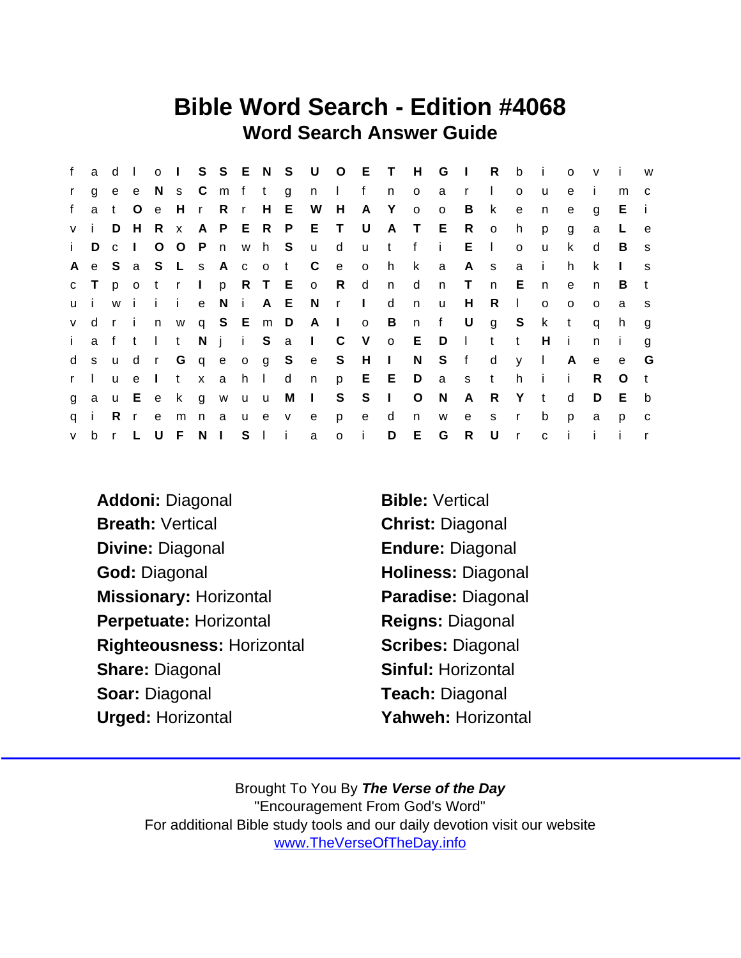## Bible Word Search - Edition #4068 Word Search Answer Guide

| f            | a d          |              | $\Box$       |              | $0 \quad 1$     |            |              |              |            |                       | S S E N S U O E T H |              |                         |              |              | G           | $\sim 1$ .   | R            | $\mathsf{b}$ | - i          | $\Omega$     | $\mathsf{v}$ | - i     | <b>W</b>     |
|--------------|--------------|--------------|--------------|--------------|-----------------|------------|--------------|--------------|------------|-----------------------|---------------------|--------------|-------------------------|--------------|--------------|-------------|--------------|--------------|--------------|--------------|--------------|--------------|---------|--------------|
| $\mathbf{r}$ | $\mathbf{q}$ |              | e e          |              | N s C m f t     |            |              |              |            | g                     | n I                 |              | f                       | n            | $\circ$      | a r         |              | $\Box$       | $\circ$      | u            | e            | $\mathbf{L}$ | m       | C.           |
| f            | a            | $\mathbf{t}$ | $\circ$      | e            | Hr              |            | R            | $\mathsf{r}$ | H E        |                       | W                   | H            | A Y                     |              | $\circ$      | $\circ$     | B            | $\mathsf{k}$ | e            | n            | e            | g            | E.      | -i-          |
| V İ          |              | D            |              | H R          | $\mathbf{X}$    |            | A P E R P    |              |            |                       | E T                 |              | U                       |              | A T E        |             | R            | $\circ$      | h.           | p            | g            | a            | L       | e,           |
| i.           | D            | $\mathbf{C}$ | $\mathbf{L}$ | $\circ$      | O P             |            | n w h S      |              |            |                       | $\mathsf{u}$        | $\mathsf{d}$ | u t                     |              | f            | - i -       | E.           | $\Box$       | $\circ$      | u            | k            | d            | B       | <b>S</b>     |
| A            |              |              |              |              |                 |            |              |              |            | e S a S L s A c o t C |                     | e            | $\overline{\mathbf{O}}$ | h.           | k            | a           | A            | S            | a            | $\mathbf{i}$ | h.           | k            |         | <sub>S</sub> |
|              | $c$ T        |              | $p \circ o$  | t r          |                 | $\sim 1$ . |              |              |            |                       | p R T E o R         |              | $\mathsf{d}$            | n            | $\mathsf{d}$ | n           | $\mathsf{T}$ | n            | E            | n.           | $\mathbf{e}$ | n            | B.      | t            |
| u i          |              | W            | i i i        |              |                 | e          |              |              |            | N i A E N             |                     | $r \perp$    |                         | d            | n            | <b>u</b>    | H            | R            | $\mathbf{L}$ | $\circ$      | $\circ$      | $\Omega$     | a       | <b>S</b>     |
| V            | d            |              |              |              | rin w q S E m D |            |              |              |            |                       | $A \mid$            |              | $\overline{O}$          | B            |              | $n \quad f$ | $\cup$       | $\mathsf{q}$ | S            | k.           | $\mathbf{t}$ | q            | h       | g            |
| $\mathbf{i}$ |              |              | aftlt        |              |                 |            |              |              |            |                       | Nji Sal             | $\mathsf{C}$ |                         | V o E        |              | D           | $\sim 1$ .   | $\mathbf{t}$ | $\mathbf t$  | H            | -i -         | n.           | - 1     | g            |
| d            | S            | <b>u</b>     | d            | r            |                 |            | G q e o g S  |              |            |                       | e S H I             |              |                         |              | N            | S f         |              | d            | y            | $\mathbf{I}$ | A            | e            | e       | G            |
| r            |              | $\mathsf{u}$ | e            | $\mathbf{I}$ |                 |            | t x a        | $h$ $l$      |            | d                     | n                   | p —          | E E                     |              | D a s        |             |              | t            | h.           | - i          | -i -         | R.           | $\circ$ | t            |
| g            | a            |              |              |              | u E e k g w u u |            |              |              |            | M                     | $\sim 1$ .          | S            | S                       | $\mathbb{R}$ | $\circ$      | N           | A            | R.           | Y            | t            | d            | D            | E       | b            |
| $\mathsf{q}$ |              | R            | $\mathsf{r}$ | e            | m n             |            | a            |              | u e v      |                       | e e                 | p            | e                       | d            | n            | W           | e            | S.           | $\mathsf{r}$ | b            | p            | a            | p       | $\mathbf{C}$ |
| $\mathsf{V}$ |              | b r L        |              | U            | - F             | N          | $\mathbf{1}$ |              | $S \mid i$ |                       | $\mathbf{a}$        | $o$ i        |                         | D            | E.           | G           | R            | U            | $\mathsf{r}$ | $\mathbf{C}$ | $\mathbf{i}$ | -i-          |         |              |

Addoni: Diagonal Bible: Vertical Breath: Vertical Christ: Diagonal Divine: Diagonal Endure: Diagonal God: Diagonal **Holiness: Diagonal** Missionary: Horizontal Paradise: Diagonal Perpetuate: Horizontal Reigns: Diagonal Righteousness: Horizontal Scribes: Diagonal Share: Diagonal Sinful: Horizontal Soar: Diagonal Teach: Diagonal Urged: Horizontal Yahweh: Horizontal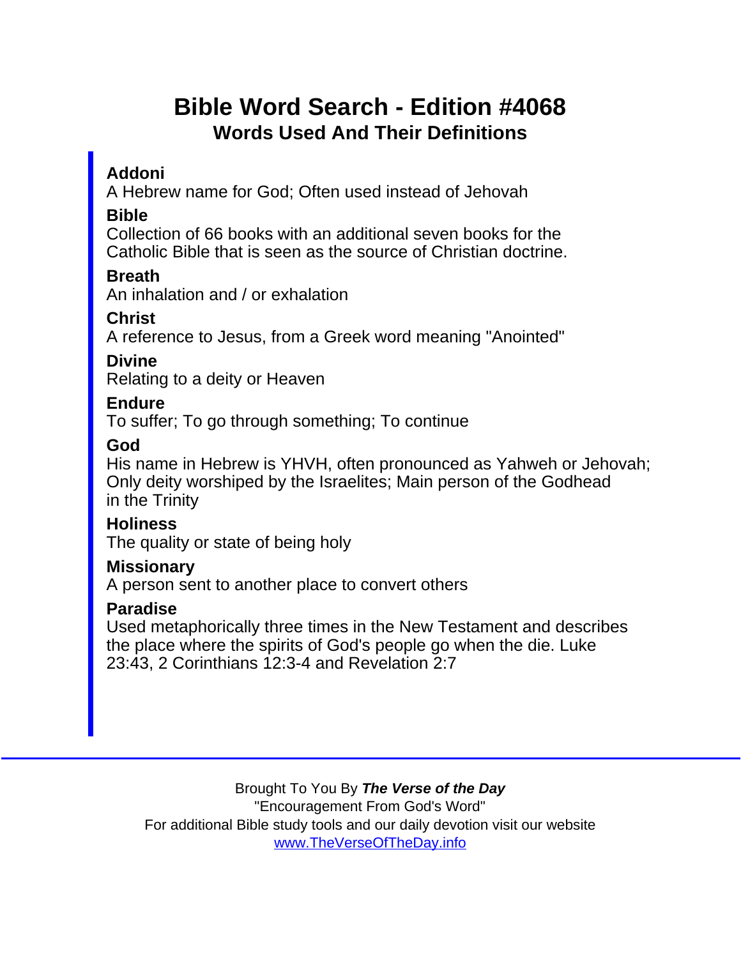# Bible Word Search - Edition #4068 Words Used And Their Definitions

Addoni

A Hebrew name for God; Often used instead of Jehovah

Bible

Collection of 66 books with an additional seven books for the Catholic Bible that is seen as the source of Christian doctrine.

**Breath** 

An inhalation and / or exhalation

**Christ** 

A reference to Jesus, from a Greek word meaning "Anointed"

Divine

Relating to a deity or Heaven

Endure

To suffer; To go through something; To continue

God

His name in Hebrew is YHVH, often pronounced as Yahweh or Jehovah; Only deity worshiped by the Israelites; Main person of the Godhead in the Trinity

**Holiness** 

The quality or state of being holy

**Missionary** 

A person sent to another place to convert others

Paradise

Used metaphorically three times in the New Testament and describes the place where the spirits of God's people go when the die. Luke 23:43, 2 Corinthians 12:3-4 and Revelation 2:7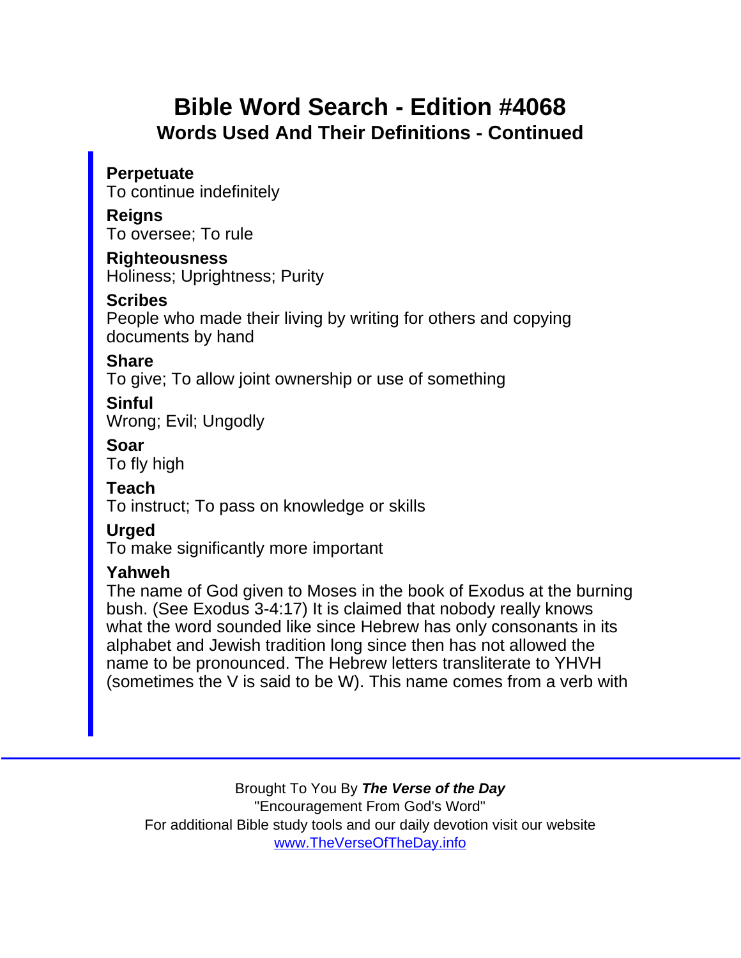# Bible Word Search - Edition #4068 Words Used And Their Definitions - Continued

**Perpetuate** To continue indefinitely

**Reigns** To oversee; To rule

Righteousness Holiness; Uprightness; Purity

**Scribes** 

People who made their living by writing for others and copying documents by hand

**Share** 

To give; To allow joint ownership or use of something

**Sinful** Wrong; Evil; Ungodly

Soar

To fly high

Teach

To instruct; To pass on knowledge or skills

**Urged** 

To make significantly more important

#### Yahweh

The name of God given to Moses in the book of Exodus at the burning bush. (See Exodus 3-4:17) It is claimed that nobody really knows what the word sounded like since Hebrew has only consonants in its alphabet and Jewish tradition long since then has not allowed the name to be pronounced. The Hebrew letters transliterate to YHVH (sometimes the V is said to be W). This name comes from a verb with